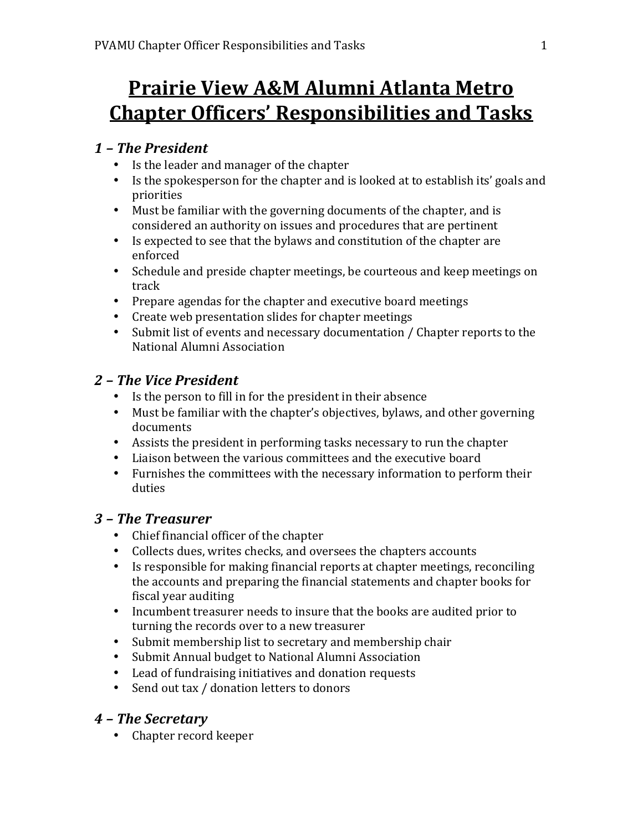# **Prairie View A&M Alumni Atlanta Metro Chapter Officers' Responsibilities and Tasks**

# *1 – The President*

- Is the leader and manager of the chapter
- Is the spokesperson for the chapter and is looked at to establish its' goals and priorities
- Must be familiar with the governing documents of the chapter, and is considered an authority on issues and procedures that are pertinent
- Is expected to see that the bylaws and constitution of the chapter are enforced
- Schedule and preside chapter meetings, be courteous and keep meetings on track
- Prepare agendas for the chapter and executive board meetings
- Create web presentation slides for chapter meetings
- Submit list of events and necessary documentation / Chapter reports to the National Alumni Association

# *2 – The Vice President*

- Is the person to fill in for the president in their absence
- Must be familiar with the chapter's objectives, bylaws, and other governing documents
- Assists the president in performing tasks necessary to run the chapter
- Liaison between the various committees and the executive board
- Furnishes the committees with the necessary information to perform their duties

# *3 – The Treasurer*

- Chief financial officer of the chapter
- Collects dues, writes checks, and oversees the chapters accounts
- Is responsible for making financial reports at chapter meetings, reconciling the accounts and preparing the financial statements and chapter books for fiscal year auditing
- Incumbent treasurer needs to insure that the books are audited prior to turning the records over to a new treasurer
- Submit membership list to secretary and membership chair
- Submit Annual budget to National Alumni Association
- Lead of fundraising initiatives and donation requests
- Send out tax / donation letters to donors

# *4 – The Secretary*

• Chapter record keeper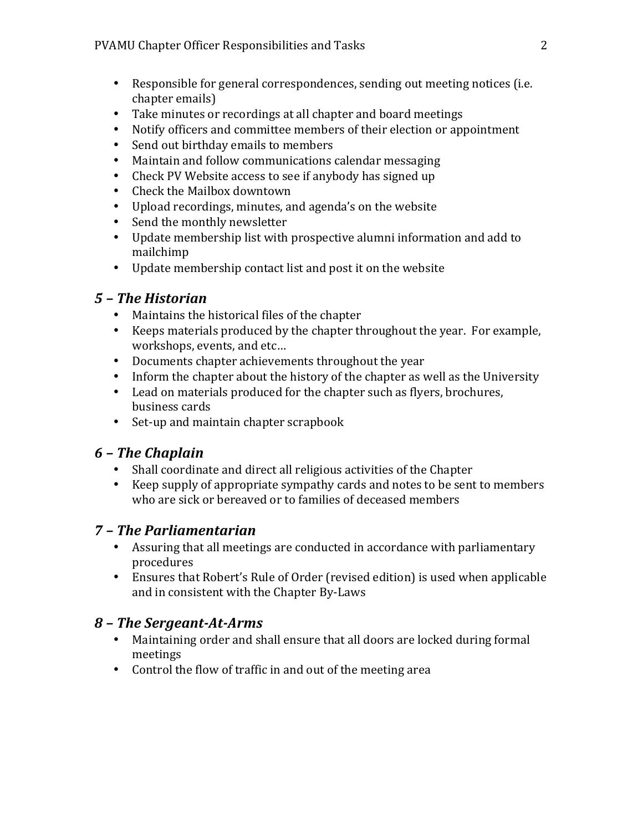- Responsible for general correspondences, sending out meeting notices (i.e. chapter emails)
- Take minutes or recordings at all chapter and board meetings
- Notify officers and committee members of their election or appointment
- Send out birthday emails to members
- Maintain and follow communications calendar messaging
- Check PV Website access to see if anybody has signed up
- Check the Mailbox downtown
- Upload recordings, minutes, and agenda's on the website
- Send the monthly newsletter
- Update membership list with prospective alumni information and add to mailchimp
- Update membership contact list and post it on the website

## *5 – The Historian*

- Maintains the historical files of the chapter
- Keeps materials produced by the chapter throughout the year. For example, workshops, events, and etc...
- Documents chapter achievements throughout the year
- Inform the chapter about the history of the chapter as well as the University
- Lead on materials produced for the chapter such as flyers, brochures, business cards
- Set-up and maintain chapter scrapbook

## *6 – The Chaplain*

- Shall coordinate and direct all religious activities of the Chapter
- Keep supply of appropriate sympathy cards and notes to be sent to members who are sick or bereaved or to families of deceased members

# *7 – The Parliamentarian*

- Assuring that all meetings are conducted in accordance with parliamentary procedures
- Ensures that Robert's Rule of Order (revised edition) is used when applicable and in consistent with the Chapter By-Laws

## *8 – The Sergeant-At-Arms*

- Maintaining order and shall ensure that all doors are locked during formal meetings
- Control the flow of traffic in and out of the meeting area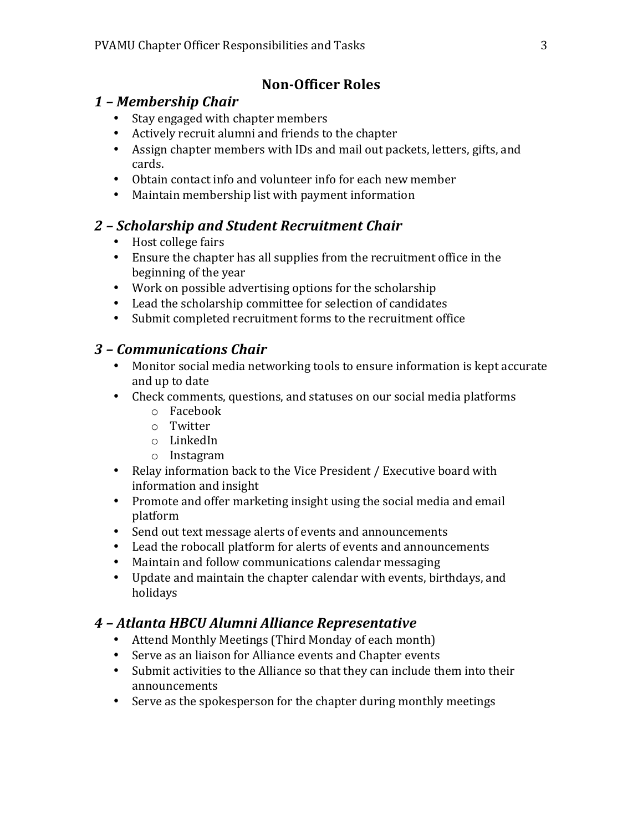#### **Non-Officer Roles**

#### *1 – Membership Chair*

- Stay engaged with chapter members
- Actively recruit alumni and friends to the chapter
- Assign chapter members with IDs and mail out packets, letters, gifts, and cards.
- Obtain contact info and volunteer info for each new member
- Maintain membership list with payment information

## *2 – Scholarship and Student Recruitment Chair*

- Host college fairs
- Ensure the chapter has all supplies from the recruitment office in the beginning of the year
- Work on possible advertising options for the scholarship
- Lead the scholarship committee for selection of candidates
- Submit completed recruitment forms to the recruitment office

#### *3 – Communications Chair*

- Monitor social media networking tools to ensure information is kept accurate and up to date
- Check comments, questions, and statuses on our social media platforms
	- o Facebook
	- o Twitter
	- o LinkedIn
	- o Instagram
- Relay information back to the Vice President / Executive board with information and insight
- Promote and offer marketing insight using the social media and email platform
- Send out text message alerts of events and announcements
- Lead the robocall platform for alerts of events and announcements
- Maintain and follow communications calendar messaging
- Update and maintain the chapter calendar with events, birthdays, and holidays

## *4 – Atlanta HBCU Alumni Alliance Representative*

- Attend Monthly Meetings (Third Monday of each month)
- Serve as an liaison for Alliance events and Chapter events
- Submit activities to the Alliance so that they can include them into their announcements
- Serve as the spokesperson for the chapter during monthly meetings